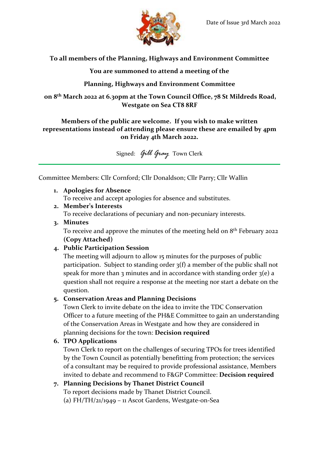

# **To all members of the Planning, Highways and Environment Committee**

**You are summoned to attend a meeting of the**

# **Planning, Highways and Environment Committee**

**on 8 th March 2022 at 6.30pm at the Town Council Office, 78 St Mildreds Road, Westgate on Sea CT8 8RF**

#### **Members of the public are welcome. If you wish to make written representations instead of attending please ensure these are emailed by 4pm on Friday 4th March 2022.**

Signed: *Gill Gray* Town Clerk

Committee Members: Cllr Cornford; Cllr Donaldson; Cllr Parry; Cllr Wallin

# **1. Apologies for Absence**

To receive and accept apologies for absence and substitutes.

#### **2. Member's Interests**

To receive declarations of pecuniary and non-pecuniary interests.

#### **3. Minutes**

To receive and approve the minutes of the meeting held on  $8<sup>th</sup>$  February 2022 **(Copy Attached)**

# **4. Public Participation Session**

The meeting will adjourn to allow 15 minutes for the purposes of public participation. Subject to standing order 3(f) a member of the public shall not speak for more than 3 minutes and in accordance with standing order  $3(e)$  a question shall not require a response at the meeting nor start a debate on the question.

# **5. Conservation Areas and Planning Decisions**

Town Clerk to invite debate on the idea to invite the TDC Conservation Officer to a future meeting of the PH&E Committee to gain an understanding of the Conservation Areas in Westgate and how they are considered in planning decisions for the town: **Decision required**

# **6. TPO Applications**

Town Clerk to report on the challenges of securing TPOs for trees identified by the Town Council as potentially benefitting from protection; the services of a consultant may be required to provide professional assistance, Members invited to debate and recommend to F&GP Committee: **Decision required**

# **7. Planning Decisions by Thanet District Council**

To report decisions made by Thanet District Council.

(a) FH/TH/21/1949 – 11 Ascot Gardens, Westgate-on-Sea